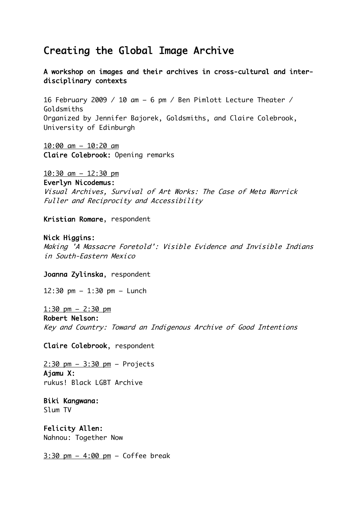## Creating the Global Image Archive

A workshop on images and their archives in cross-cultural and interdisciplinary contexts

16 February 2009 / 10 am – 6 pm / Ben Pimlott Lecture Theater / Goldsmiths Organized by Jennifer Bajorek, Goldsmiths, and Claire Colebrook, University of Edinburgh

10:00 am – 10:20 am Claire Colebrook: Opening remarks

10:30 am – 12:30 pm

Everlyn Nicodemus:

Visual Archives, Survival of Art Works: The Case of Meta Warrick Fuller and Reciprocity and Accessibility

Kristian Romare, respondent

Nick Higgins:

Making 'A Massacre Foretold': Visible Evidence and Invisible Indians in South-Eastern Mexico

Joanna Zylinska, respondent

12:30 pm – 1:30 pm – Lunch

1:30 pm – 2:30 pm Robert Nelson: Key and Country: Toward an Indigenous Archive of Good Intentions

Claire Colebrook, respondent

2:30 pm – 3:30 pm – Projects Ajamu X: rukus! Black LGBT Archive

Biki Kangwana: Slum TV

Felicity Allen: Nahnou: Together Now

3:30 pm – 4:00 pm – Coffee break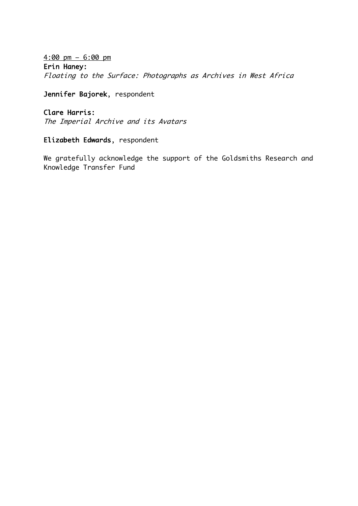4:00 pm – 6:00 pm Erin Haney: Floating to the Surface: Photographs as Archives in West Africa

Jennifer Bajorek, respondent

## Clare Harris:

The Imperial Archive and its Avatars

## Elizabeth Edwards, respondent

We gratefully acknowledge the support of the Goldsmiths Research and Knowledge Transfer Fund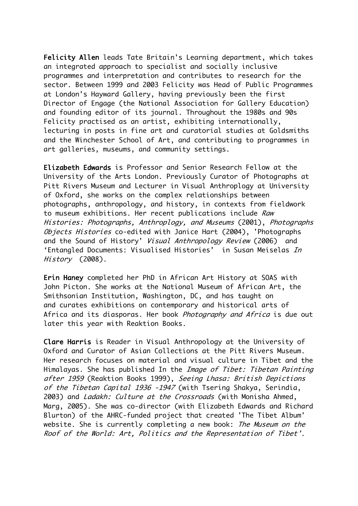Felicity Allen leads Tate Britain's Learning department, which takes an integrated approach to specialist and socially inclusive programmes and interpretation and contributes to research for the sector. Between 1999 and 2003 Felicity was Head of Public Programmes at London's Hayward Gallery, having previously been the first Director of Engage (the National Association for Gallery Education) and founding editor of its journal. Throughout the 1980s and 90s Felicity practised as an artist, exhibiting internationally, lecturing in posts in fine art and curatorial studies at Goldsmiths and the Winchester School of Art, and contributing to programmes in art galleries, museums, and community settings.

Elizabeth Edwards is Professor and Senior Research Fellow at the University of the Arts London. Previously Curator of Photographs at Pitt Rivers Museum and Lecturer in Visual Anthroplogy at University of Oxford, she works on the complex relationships between photographs, anthropology, and history, in contexts from fieldwork to museum exhibitions. Her recent publications include Raw Histories: Photographs, Anthroplogy, and Museums (2001), Photographs Objects Histories co-edited with Janice Hart (2004), 'Photographs and the Sound of History' Visual Anthropology Review (2006) and 'Entangled Documents: Visualised Histories' in Susan Meiselas In History (2008).

Erin Haney completed her PhD in African Art History at SOAS with John Picton. She works at the National Museum of African Art, the Smithsonian Institution, Washington, DC, and has taught on and curates exhibitions on contemporary and historical arts of Africa and its diasporas. Her book *Photography and Africa* is due out later this year with Reaktion Books.

Clare Harris is Reader in Visual Anthropology at the University of Oxford and Curator of Asian Collections at the Pitt Rivers Museum. Her research focuses on material and visual culture in Tibet and the Himalayas. She has published In the *Image of Tibet: Tibetan Painting* after 1959 (Reaktion Books 1999), Seeing Lhasa: British Depictions of the Tibetan Capital 1936 -1947 (with Tsering Shakya, Serindia, 2003) and Ladakh: Culture at the Crossroads (with Monisha Ahmed, Marg, 2005). She was co-director (with Elizabeth Edwards and Richard Blurton) of the AHRC-funded project that created 'The Tibet Album' website. She is currently completing a new book: The Museum on the Roof of the World: Art, Politics and the Representation of Tibet'.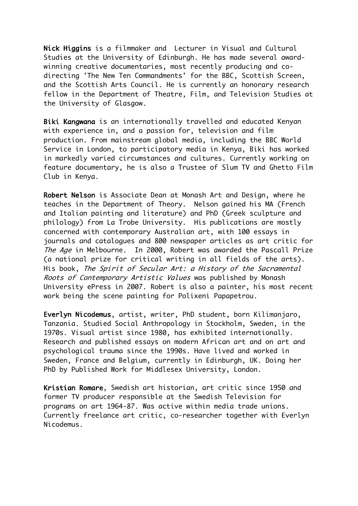Nick Higgins is a filmmaker and Lecturer in Visual and Cultural Studies at the University of Edinburgh. He has made several awardwinning creative documentaries, most recently producing and codirecting 'The New Ten Commandments' for the BBC, Scottish Screen, and the Scottish Arts Council. He is currently an honorary research fellow in the Department of Theatre, Film, and Television Studies at the University of Glasgow.

Biki Kangwana is an internationally travelled and educated Kenyan with experience in, and a passion for, television and film production. From mainstream global media, including the BBC World Service in London, to participatory media in Kenya, Biki has worked in markedly varied circumstances and cultures. Currently working on feature documentary, he is also a Trustee of Slum TV and Ghetto Film Club in Kenya.

Robert Nelson is Associate Dean at Monash Art and Design, where he teaches in the Department of Theory. Nelson gained his MA (French and Italian painting and literature) and PhD (Greek sculpture and philology) from La Trobe University. His publications are mostly concerned with contemporary Australian art, with 100 essays in journals and catalogues and 800 newspaper articles as art critic for The Age in Melbourne. In 2000, Robert was awarded the Pascall Prize (a national prize for critical writing in all fields of the arts). His book, The Spirit of Secular Art: a History of the Sacramental Roots of Contemporary Artistic Values was published by Monash University ePress in 2007. Robert is also a painter, his most recent work being the scene painting for Polixeni Papapetrou.

Everlyn Nicodemus, artist, writer, PhD student, born Kilimanjaro, Tanzania. Studied Social Anthropology in Stockholm, Sweden, in the 1970s. Visual artist since 1980, has exhibited internationally. Research and published essays on modern African art and on art and psychological trauma since the 1990s. Have lived and worked in Sweden, France and Belgium, currently in Edinburgh, UK. Doing her PhD by Published Work for Middlesex University, London.

Kristian Romare, Swedish art historian, art critic since 1950 and former TV producer responsible at the Swedish Television for programs on art 1964-87. Was active within media trade unions. Currently freelance art critic, co-researcher together with Everlyn Nicodemus.